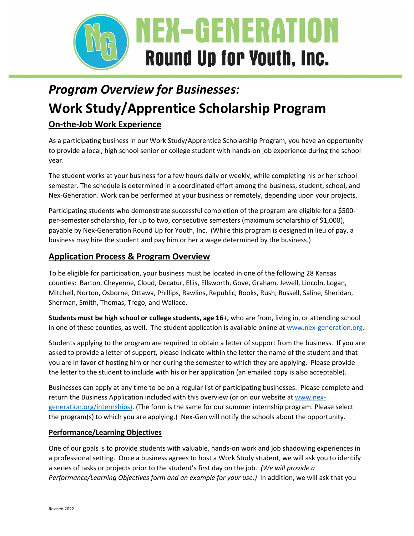

# *Program Overview for Businesses:* **Work Study/Apprentice Scholarship Program On-the-Job Work Experience**

As a participating business in our Work Study/Apprentice Scholarship Program, you have an opportunity to provide a local, high school senior or college student with hands-on job experience during the school year.

The student works at your business for a few hours daily or weekly, while completing his or her school semester. The schedule is determined in a coordinated effort among the business, student, school, and Nex-Generation. Work can be performed at your business or remotely, depending upon your projects.

Participating students who demonstrate successful completion of the program are eligible for a \$500 per-semester scholarship, for up to two, consecutive semesters (maximum scholarship of \$1,000), payable by Nex-Generation Round Up for Youth, Inc. (While this program is designed in lieu of pay, a business may hire the student and pay him or her a wage determined by the business.)

## **Application Process & Program Overview**

To be eligible for participation, your business must be located in one of the following 28 Kansas counties: Barton, Cheyenne, Cloud, Decatur, Ellis, Ellsworth, Gove, Graham, Jewell, Lincoln, Logan, Mitchell, Norton, Osborne, Ottawa, Phillips, Rawlins, Republic, Rooks, Rush, Russell, Saline, Sheridan, Sherman, Smith, Thomas, Trego, and Wallace.

**Students must be high school or college students, age 16+,** who are from, living in, or attending school in one of these counties, as well. The student application is available online at [www.nex-generation.org.](http://www.nex-generation.org/)

Students applying to the program are required to obtain a letter of support from the business. If you are asked to provide a letter of support, please indicate within the letter the name of the student and that you are in favor of hosting him or her during the semester to which they are applying. Please provide the letter to the student to include with his or her application (an emailed copy is also acceptable).

Businesses can apply at any time to be on a regular list of participating businesses. Please complete and return the Business Application included with this overview (or on our website at [www.nex](http://www.nex-generation.org/internships)[generation.org/internships\)](http://www.nex-generation.org/internships). (The form is the same for our summer internship program. Please select the program(s) to which you are applying.) Nex-Gen will notify the schools about the opportunity.

### **Performance/Learning Objectives**

One of our goals is to provide students with valuable, hands-on work and job shadowing experiences in a professional setting. Once a business agrees to host a Work Study student, we will ask you to identify a series of tasks or projects prior to the student's first day on the job. *(We will provide a Performance/Learning Objectives form and an example for your use.)* In addition, we will ask that you